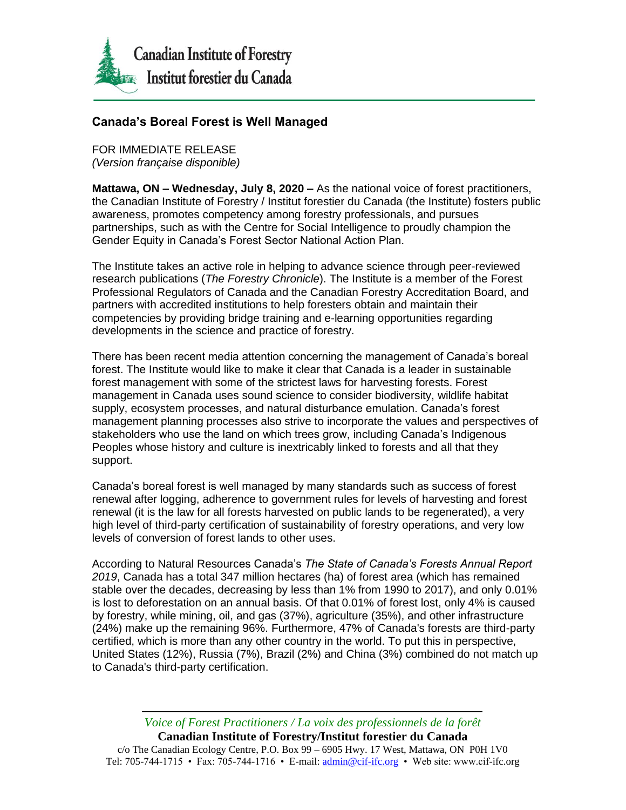

## **Canada's Boreal Forest is Well Managed**

FOR IMMEDIATE RELEASE *(Version française disponible)*

**Mattawa, ON – Wednesday, July 8, 2020 –** As the national voice of forest practitioners, the Canadian Institute of Forestry / Institut forestier du Canada (the Institute) fosters public awareness, promotes competency among forestry professionals, and pursues partnerships, such as with the Centre for Social Intelligence to proudly champion the Gender Equity in Canada's Forest Sector National Action Plan.

The Institute takes an active role in helping to advance science through peer-reviewed research publications (*The Forestry Chronicle*). The Institute is a member of the Forest Professional Regulators of Canada and the Canadian Forestry Accreditation Board, and partners with accredited institutions to help foresters obtain and maintain their competencies by providing bridge training and e-learning opportunities regarding developments in the science and practice of forestry.

There has been recent media attention concerning the management of Canada's boreal forest. The Institute would like to make it clear that Canada is a leader in sustainable forest management with some of the strictest laws for harvesting forests. Forest management in Canada uses sound science to consider biodiversity, wildlife habitat supply, ecosystem processes, and natural disturbance emulation. Canada's forest management planning processes also strive to incorporate the values and perspectives of stakeholders who use the land on which trees grow, including Canada's Indigenous Peoples whose history and culture is inextricably linked to forests and all that they support.

Canada's boreal forest is well managed by many standards such as success of forest renewal after logging, adherence to government rules for levels of harvesting and forest renewal (it is the law for all forests harvested on public lands to be regenerated), a very high level of third-party certification of sustainability of forestry operations, and very low levels of conversion of forest lands to other uses.

According to Natural Resources Canada's *The State of Canada's Forests Annual Report 2019*, Canada has a total 347 million hectares (ha) of forest area (which has remained stable over the decades, decreasing by less than 1% from 1990 to 2017), and only 0.01% is lost to deforestation on an annual basis. Of that 0.01% of forest lost, only 4% is caused by forestry, while mining, oil, and gas (37%), agriculture (35%), and other infrastructure (24%) make up the remaining 96%. Furthermore, 47% of Canada's forests are third-party certified, which is more than any other country in the world. To put this in perspective, United States (12%), Russia (7%), Brazil (2%) and China (3%) combined do not match up to Canada's third-party certification.

## *Voice of Forest Practitioners / La voix des professionnels de la forêt*

**Canadian Institute of Forestry/Institut forestier du Canada** c/o The Canadian Ecology Centre, P.O. Box 99 – 6905 Hwy. 17 West, Mattawa, ON P0H 1V0 Tel: 705-744-1715 • Fax: 705-744-1716 • E-mail[: admin@cif-ifc.org](mailto:admin@cif-ifc.org) • Web site: www.cif-ifc.org